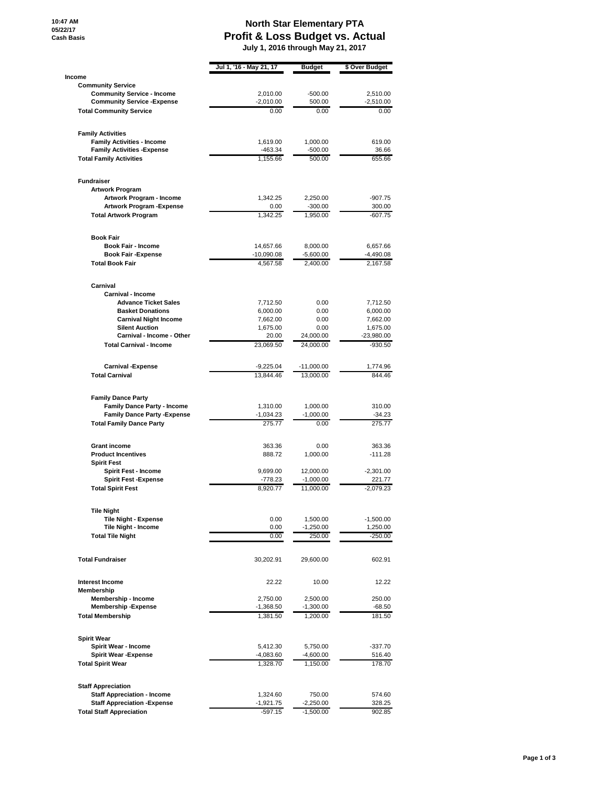## **North Star Elementary PTA Profit & Loss Budget vs. Actual July 1, 2016 through May 21, 2017**

|                                                                        | Jul 1, '16 - May 21, 17 | Budget                  | \$ Over Budget           |
|------------------------------------------------------------------------|-------------------------|-------------------------|--------------------------|
| Income                                                                 |                         |                         |                          |
| <b>Community Service</b>                                               |                         |                         |                          |
| <b>Community Service - Income</b>                                      | 2.010.00                | $-500.00$               | 2,510.00                 |
| <b>Community Service - Expense</b><br><b>Total Community Service</b>   | $-2,010.00$<br>0.00     | 500.00<br>0.00          | $-2,510.00$<br>0.00      |
|                                                                        |                         |                         |                          |
| <b>Family Activities</b><br><b>Family Activities - Income</b>          | 1,619.00                | 1,000.00                | 619.00                   |
| <b>Family Activities - Expense</b>                                     | $-463.34$               | -500.00                 | 36.66                    |
| <b>Total Family Activities</b>                                         | 1,155.66                | 500.00                  | 655.66                   |
| <b>Fundraiser</b>                                                      |                         |                         |                          |
| <b>Artwork Program</b>                                                 |                         |                         |                          |
| Artwork Program - Income                                               | 1,342.25                | 2,250.00                | $-907.75$                |
| Artwork Program - Expense<br><b>Total Artwork Program</b>              | 0.00<br>1,342.25        | $-300.00$<br>1,950.00   | 300.00<br>$-607.75$      |
|                                                                        |                         |                         |                          |
| <b>Book Fair</b><br><b>Book Fair - Income</b>                          | 14,657.66               | 8,000.00                | 6,657.66                 |
| <b>Book Fair -Expense</b>                                              | $-10,090.08$            | $-5,600.00$             | -4,490.08                |
| <b>Total Book Fair</b>                                                 | 4,567.58                | 2,400.00                | 2,167.58                 |
| Carnival                                                               |                         |                         |                          |
| Carnival - Income                                                      |                         |                         |                          |
| <b>Advance Ticket Sales</b>                                            | 7,712.50                | 0.00                    | 7,712.50                 |
| <b>Basket Donations</b>                                                | 6,000.00                | 0.00                    | 6,000.00                 |
| <b>Carnival Night Income</b><br><b>Silent Auction</b>                  | 7,662.00<br>1,675.00    | 0.00<br>0.00            | 7,662.00                 |
| Carnival - Income - Other                                              | 20.00                   | 24,000.00               | 1,675.00<br>$-23,980.00$ |
| <b>Total Carnival - Income</b>                                         | 23.069.50               | 24,000.00               | -930.50                  |
| <b>Carnival -Expense</b>                                               | $-9,225.04$             | $-11,000.00$            | 1,774.96                 |
| <b>Total Carnival</b>                                                  | 13,844.46               | 13,000.00               | 844.46                   |
| <b>Family Dance Party</b>                                              |                         |                         |                          |
| <b>Family Dance Party - Income</b>                                     | 1,310.00                | 1,000.00                | 310.00                   |
| <b>Family Dance Party - Expense</b><br><b>Total Family Dance Party</b> | $-1,034.23$<br>275.77   | $-1,000.00$<br>0.00     | $-34.23$<br>275.77       |
|                                                                        |                         |                         |                          |
| <b>Grant income</b>                                                    | 363.36                  | 0.00                    | 363.36                   |
| <b>Product Incentives</b>                                              | 888.72                  | 1,000.00                | $-111.28$                |
| <b>Spirit Fest</b><br>Spirit Fest - Income                             | 9,699.00                | 12,000.00               | $-2,301.00$              |
| <b>Spirit Fest -Expense</b>                                            | $-778.23$               | $-1,000.00$             | 221.77                   |
| <b>Total Spirit Fest</b>                                               | 8,920.77                | 11,000.00               | $-2,079.23$              |
| <b>Tile Night</b>                                                      |                         |                         |                          |
| <b>Tile Night - Expense</b>                                            | 0.00                    | 1,500.00                | $-1,500.00$              |
| Tile Night - Income                                                    | 0.00                    | $-1,250.00$             | 1,250.00                 |
| <b>Total Tile Night</b>                                                | 0.00                    | 250.00                  | -250.00                  |
| <b>Total Fundraiser</b>                                                | 30,202.91               | 29,600.00               | 602.91                   |
| <b>Interest Income</b>                                                 | 22.22                   | 10.00                   | 12.22                    |
| Membership                                                             |                         |                         |                          |
| Membership - Income<br><b>Membership -Expense</b>                      | 2,750.00<br>-1,368.50   | 2,500.00<br>$-1,300.00$ | 250.00<br>$-68.50$       |
| <b>Total Membership</b>                                                | 1,381.50                | 1,200.00                | 181.50                   |
|                                                                        |                         |                         |                          |
| <b>Spirit Wear</b><br>Spirit Wear - Income                             | 5,412.30                | 5,750.00                | $-337.70$                |
| <b>Spirit Wear - Expense</b>                                           | $-4,083.60$             | $-4,600.00$             | 516.40                   |
| <b>Total Spirit Wear</b>                                               | 1,328.70                | 1,150.00                | 178.70                   |
| <b>Staff Appreciation</b>                                              |                         |                         |                          |
| <b>Staff Appreciation - Income</b>                                     | 1,324.60                | 750.00                  | 574.60                   |
| <b>Staff Appreciation - Expense</b>                                    | $-1,921.75$             | $-2,250.00$             | 328.25                   |
| <b>Total Staff Appreciation</b>                                        | $-597.15$               | $-1,500.00$             | 902.85                   |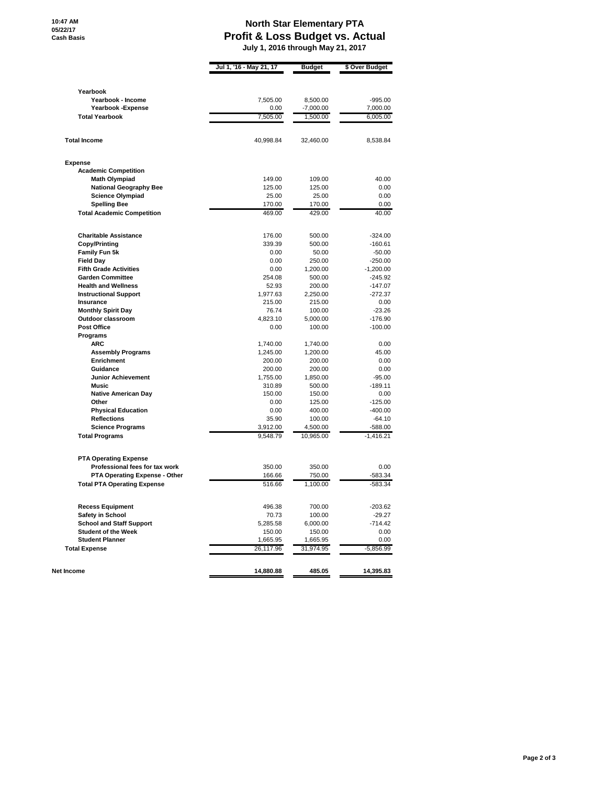## **North Star Elementary PTA Profit & Loss Budget vs. Actual July 1, 2016 through May 21, 2017**

|                                                  | Jul 1, '16 - May 21, 17 | <b>Budget</b>         | \$ Over Budget         |
|--------------------------------------------------|-------------------------|-----------------------|------------------------|
| Yearbook                                         |                         |                       |                        |
| Yearbook - Income                                | 7,505.00                | 8,500.00              | $-995.00$              |
| Yearbook - Expense                               | 0.00                    | -7,000.00             | 7,000.00               |
| <b>Total Yearbook</b>                            | 7.505.00                | 1,500.00              | 6,005.00               |
| <b>Total Income</b>                              | 40,998.84               | 32,460.00             | 8,538.84               |
| <b>Expense</b>                                   |                         |                       |                        |
| <b>Academic Competition</b>                      |                         |                       |                        |
| <b>Math Olympiad</b>                             | 149.00                  | 109.00                | 40.00                  |
| <b>National Geography Bee</b>                    | 125.00                  | 125.00                | 0.00                   |
| <b>Science Olympiad</b>                          | 25.00                   | 25.00                 | 0.00                   |
| <b>Spelling Bee</b>                              | 170.00                  | 170.00                | 0.00                   |
| <b>Total Academic Competition</b>                | 469.00                  | 429.00                | 40.00                  |
|                                                  |                         |                       |                        |
| <b>Charitable Assistance</b>                     | 176.00                  | 500.00                | $-324.00$              |
| <b>Copy/Printing</b><br><b>Family Fun 5k</b>     | 339.39<br>0.00          | 500.00<br>50.00       | -160.61<br>$-50.00$    |
| <b>Field Day</b>                                 | 0.00                    | 250.00                | $-250.00$              |
| <b>Fifth Grade Activities</b>                    | 0.00                    | 1,200.00              | $-1,200.00$            |
| <b>Garden Committee</b>                          | 254.08                  | 500.00                | -245.92                |
| <b>Health and Wellness</b>                       | 52.93                   | 200.00                | -147.07                |
| <b>Instructional Support</b>                     | 1,977.63                | 2,250.00              | $-272.37$              |
| Insurance                                        | 215.00                  | 215.00                | 0.00                   |
| <b>Monthly Spirit Day</b>                        | 76.74                   | 100.00                | $-23.26$               |
| Outdoor classroom                                | 4,823.10                | 5,000.00              | $-176.90$              |
| <b>Post Office</b>                               | 0.00                    | 100.00                | $-100.00$              |
| Programs                                         |                         |                       |                        |
| ARC                                              | 1,740.00                | 1,740.00              | 0.00                   |
| <b>Assembly Programs</b>                         | 1,245.00                | 1,200.00              | 45.00                  |
| <b>Enrichment</b>                                | 200.00                  | 200.00                | 0.00                   |
| Guidance                                         | 200.00                  | 200.00                | 0.00                   |
| <b>Junior Achievement</b>                        | 1,755.00                | 1,850.00              | $-95.00$               |
| <b>Music</b>                                     | 310.89                  | 500.00                | -189.11                |
| <b>Native American Day</b>                       | 150.00                  | 150.00                | 0.00                   |
| Other                                            | 0.00                    | 125.00                | $-125.00$              |
| <b>Physical Education</b>                        | 0.00                    | 400.00                | $-400.00$              |
| <b>Reflections</b>                               | 35.90                   | 100.00                | $-64.10$               |
| <b>Science Programs</b><br><b>Total Programs</b> | 3,912.00<br>9,548.79    | 4,500.00<br>10,965.00 | -588.00<br>$-1,416.21$ |
|                                                  |                         |                       |                        |
| <b>PTA Operating Expense</b>                     |                         |                       |                        |
| Professional fees for tax work                   | 350.00<br>166.66        | 350.00                | 0.00                   |
| PTA Operating Expense - Other                    |                         | 750.00                | $-583.34$              |
| <b>Total PTA Operating Expense</b>               | 516.66                  | 1,100.00              | $-583.34$              |
| <b>Recess Equipment</b>                          | 496.38                  | 700.00                | -203.62                |
| Safety in School                                 | 70.73                   | 100.00                | $-29.27$               |
| <b>School and Staff Support</b>                  | 5,285.58                | 6,000.00              | -714.42                |
| <b>Student of the Week</b>                       | 150.00                  | 150.00                | 0.00                   |
| <b>Student Planner</b>                           | 1,665.95                | 1,665.95              | 0.00                   |
| <b>Total Expense</b>                             | 26,117.96               | 31,974.95             | $-5,856.99$            |
| Net Income                                       | 14,880.88               | 485.05                | 14,395.83              |